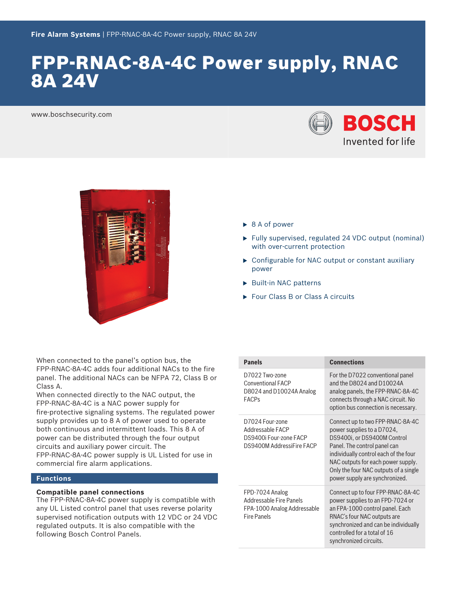# FPP-RNAC-8A-4C Power supply, RNAC 8A 24V

www.boschsecurity.com





When connected to the panel's option bus, the FPP‑RNAC‑8A‑4C adds four additional NACs to the fire panel. The additional NACs can be NFPA 72, Class B or Class A.

When connected directly to the NAC output, the FPP‑RNAC‑8A‑4C is a NAC power supply for fire‑protective signaling systems. The regulated power supply provides up to 8 A of power used to operate both continuous and intermittent loads. This 8 A of power can be distributed through the four output circuits and auxiliary power circuit. The FPP‑RNAC‑8A‑4C power supply is UL Listed for use in commercial fire alarm applications.

# **Functions**

# **Compatible panel connections**

The FPP-RNAC-8A-4C power supply is compatible with any UL Listed control panel that uses reverse polarity supervised notification outputs with 12 VDC or 24 VDC regulated outputs. It is also compatible with the following Bosch Control Panels.

- $\triangleright$  8 A of power
- $\blacktriangleright$  Fully supervised, regulated 24 VDC output (nominal) with over-current protection
- $\triangleright$  Configurable for NAC output or constant auxiliary power
- $\blacktriangleright$  Built-in NAC patterns
- ▶ Four Class B or Class A circuits

| <b>Panels</b>                                                                                   | <b>Connections</b>                                                                                                                                                                                                                                                                      |
|-------------------------------------------------------------------------------------------------|-----------------------------------------------------------------------------------------------------------------------------------------------------------------------------------------------------------------------------------------------------------------------------------------|
| D7022 Two-zone<br>Conventional FACP<br>D8024 and D10024A Analog<br><b>FACPs</b>                 | For the D7022 conventional panel<br>and the D8024 and D10024A<br>analog panels, the FPP-RNAC-8A-4C<br>connects through a NAC circuit. No<br>option bus connection is necessary.                                                                                                         |
| D7024 Four-zone<br>Addressable FACP<br>DS9400i Four-zone FACP<br>DS9400M AddressiFire FACP      | Connect up to two FPP-RNAC-8A-4C<br>power supplies to a D7024,<br>DS9400i, or DS9400M Control<br>Panel. The control panel can<br>individually control each of the four<br>NAC outputs for each power supply.<br>Only the four NAC outputs of a single<br>power supply are synchronized. |
| FPD-7024 Analog<br>Addressable Fire Panels<br>FPA-1000 Analog Addressable<br><b>Fire Panels</b> | Connect up to four FPP-RNAC-8A-4C<br>power supplies to an FPD-7024 or<br>an FPA-1000 control panel. Each<br>RNAC's four NAC outputs are<br>synchronized and can be individually<br>controlled for a total of 16<br>synchronized circuits.                                               |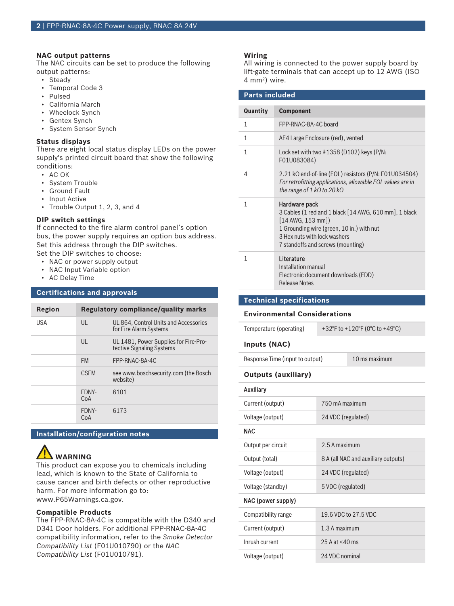### **NAC output patterns**

The NAC circuits can be set to produce the following output patterns:

- Steady
- Temporal Code 3
- Pulsed
- California March
- Wheelock Synch
- Gentex Synch
- System Sensor Synch

# **Status displays**

There are eight local status display LEDs on the power supply's printed circuit board that show the following conditions:

- AC OK
- System Trouble
- Ground Fault
- Input Active
- Trouble Output 1, 2, 3, and 4

# **DIP switch settings**

If connected to the fire alarm control panel's option bus, the power supply requires an option bus address. Set this address through the DIP switches.

- Set the DIP switches to choose:
	- NAC or power supply output
	- NAC Input Variable option
	- AC Delay Time

# **Certifications and approvals**

| Region |              | Regulatory compliance/quality marks                                |
|--------|--------------|--------------------------------------------------------------------|
| USA    | $\mathsf{U}$ | UL 864, Control Units and Accessories<br>for Fire Alarm Systems    |
|        | $\mathsf{U}$ | UL 1481, Power Supplies for Fire-Pro-<br>tective Signaling Systems |
|        | <b>FM</b>    | FPP-RNAC-8A-4C                                                     |
|        | <b>CSEM</b>  | see www.boschsecurity.com (the Bosch<br>website)                   |
|        | FDNY-<br>CoA | 6101                                                               |
|        | FDNY-<br>CoA | 6173                                                               |
|        |              |                                                                    |

# **Installation/configuration notes**



This product can expose you to chemicals including lead, which is known to the State of California to cause cancer and birth defects or other reproductive harm. For more information go to: [www.P65Warnings.ca.gov.](http://www.P65Warnings.ca.gov)

# **Compatible Products**

The FPP-RNAC-8A-4C is compatible with the D340 and D341 Door holders. For additional FPP-RNAC-8A-4C compatibility information, refer to the *Smoke Detector Compatibility List* (F01U010790) or the *NAC Compatibility List* (F01U010791).

# **Wiring**

All wiring is connected to the power supply board by lift-gate terminals that can accept up to 12 AWG (ISO 4 mm<sup>2</sup> ) wire.

| <b>Parts included</b> |                                                                                                                                                                                                                 |
|-----------------------|-----------------------------------------------------------------------------------------------------------------------------------------------------------------------------------------------------------------|
| Quantity              | <b>Component</b>                                                                                                                                                                                                |
| 1                     | FPP-RNAC-8A-4C board                                                                                                                                                                                            |
| $\mathbf{1}$          | AE4 Large Enclosure (red), vented                                                                                                                                                                               |
| 1                     | Lock set with two $\#1358$ (D102) keys (P/N:<br>F01U083084)                                                                                                                                                     |
| 4                     | $2.21$ k $\Omega$ end-of-line (EOL) resistors (P/N: F01U034504)<br>For retrofitting applications, allowable EOL values are in<br>the range of 1 kQ to 20 kQ                                                     |
| 1                     | Hardware pack<br>3 Cables (1 red and 1 black [14 AWG, 610 mm], 1 black<br>$[14$ AWG, 153 mm])<br>1 Grounding wire (green, 10 in.) with nut<br>3 Hex nuts with lock washers<br>7 standoffs and screws (mounting) |
| 1                     | Literature<br>Installation manual<br>Electronic document downloads (EDD)<br><b>Release Notes</b>                                                                                                                |

**Technical specifications**

# **Environmental Considerations**

Temperature (operating) +32°F to +120°F (0°C to +49°C)

**Inputs (NAC)**

Response Time (input to output) 10 ms maximum

# **Outputs (auxiliary)**

# Auxiliary

| Current (output)   | 750 mA maximum                      |
|--------------------|-------------------------------------|
| Voltage (output)   | 24 VDC (regulated)                  |
| <b>NAC</b>         |                                     |
| Output per circuit | 2.5 A maximum                       |
| Output (total)     | 8 A (all NAC and auxiliary outputs) |
| Voltage (output)   | 24 VDC (regulated)                  |
| Voltage (standby)  | 5 VDC (regulated)                   |
| NAC (power supply) |                                     |

| Compatibility range | 19.6 VDC to 27.5 VDC |
|---------------------|----------------------|
| Current (output)    | 1.3 A maximum        |
| Inrush current      | 25 A at $<$ 40 ms    |
| Voltage (output)    | 24 VDC nominal       |